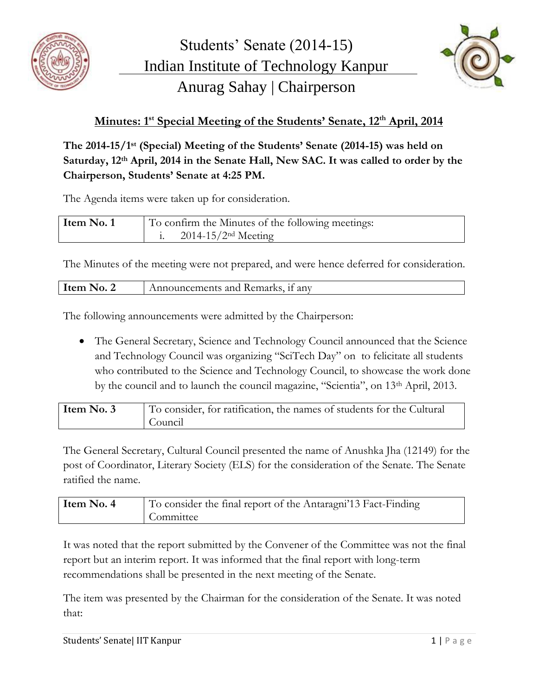



## **Minutes: 1 st Special Meeting of the Students' Senate, 12th April, 2014**

**The 2014-15/1 st (Special) Meeting of the Students' Senate (2014-15) was held on Saturday, 12th April, 2014 in the Senate Hall, New SAC. It was called to order by the Chairperson, Students' Senate at 4:25 PM.**

The Agenda items were taken up for consideration.

| Item No. 1 | To confirm the Minutes of the following meetings: |
|------------|---------------------------------------------------|
|            | $2014 - 15/2$ <sup>nd</sup> Meeting               |

The Minutes of the meeting were not prepared, and were hence deferred for consideration.

| Item No. 2<br>Announcements and Remarks, if any |
|-------------------------------------------------|
|-------------------------------------------------|

The following announcements were admitted by the Chairperson:

• The General Secretary, Science and Technology Council announced that the Science and Technology Council was organizing "SciTech Day" on to felicitate all students who contributed to the Science and Technology Council, to showcase the work done by the council and to launch the council magazine, "Scientia", on 13th April, 2013.

| Item No. 3 | To consider, for ratification, the names of students for the Cultural |
|------------|-----------------------------------------------------------------------|
|            | Council                                                               |

The General Secretary, Cultural Council presented the name of Anushka Jha (12149) for the post of Coordinator, Literary Society (ELS) for the consideration of the Senate. The Senate ratified the name.

| Item No. 4 | To consider the final report of the Antaragni'13 Fact-Finding |
|------------|---------------------------------------------------------------|
|            | Committee                                                     |

It was noted that the report submitted by the Convener of the Committee was not the final report but an interim report. It was informed that the final report with long-term recommendations shall be presented in the next meeting of the Senate.

The item was presented by the Chairman for the consideration of the Senate. It was noted that: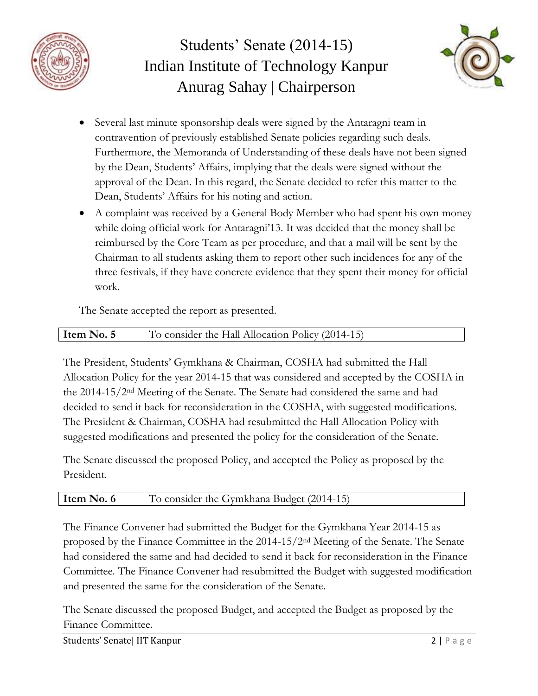



- Several last minute sponsorship deals were signed by the Antaragni team in contravention of previously established Senate policies regarding such deals. Furthermore, the Memoranda of Understanding of these deals have not been signed by the Dean, Students' Affairs, implying that the deals were signed without the approval of the Dean. In this regard, the Senate decided to refer this matter to the Dean, Students' Affairs for his noting and action.
- A complaint was received by a General Body Member who had spent his own money while doing official work for Antaragni'13. It was decided that the money shall be reimbursed by the Core Team as per procedure, and that a mail will be sent by the Chairman to all students asking them to report other such incidences for any of the three festivals, if they have concrete evidence that they spent their money for official work.

The Senate accepted the report as presented.

| To consider the Hall Allocation Policy (2014-15)<br>Item No. |  |
|--------------------------------------------------------------|--|

The President, Students' Gymkhana & Chairman, COSHA had submitted the Hall Allocation Policy for the year 2014-15 that was considered and accepted by the COSHA in the 2014-15/2nd Meeting of the Senate. The Senate had considered the same and had decided to send it back for reconsideration in the COSHA, with suggested modifications. The President & Chairman, COSHA had resubmitted the Hall Allocation Policy with suggested modifications and presented the policy for the consideration of the Senate.

The Senate discussed the proposed Policy, and accepted the Policy as proposed by the President.

| Item N<br>consider the Gymkhana Budget (2014-1<br>No. |
|-------------------------------------------------------|
|-------------------------------------------------------|

The Finance Convener had submitted the Budget for the Gymkhana Year 2014-15 as proposed by the Finance Committee in the 2014-15/2nd Meeting of the Senate. The Senate had considered the same and had decided to send it back for reconsideration in the Finance Committee. The Finance Convener had resubmitted the Budget with suggested modification and presented the same for the consideration of the Senate.

The Senate discussed the proposed Budget, and accepted the Budget as proposed by the Finance Committee.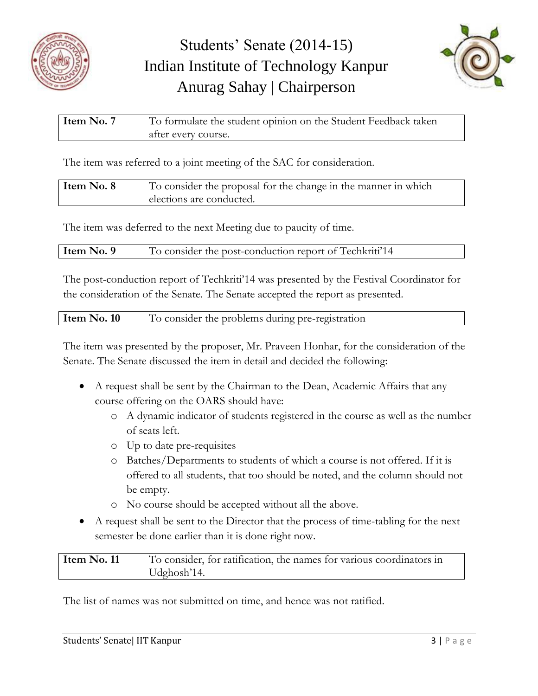



| Item No. 7 | To formulate the student opinion on the Student Feedback taken |
|------------|----------------------------------------------------------------|
|            | after every course.                                            |

The item was referred to a joint meeting of the SAC for consideration.

| Item No. 8 | To consider the proposal for the change in the manner in which |
|------------|----------------------------------------------------------------|
|            | elections are conducted.                                       |

The item was deferred to the next Meeting due to paucity of time.

| Item No. 9 | To consider the post-conduction report of Techkriti <sup>'14</sup> |
|------------|--------------------------------------------------------------------|
|            |                                                                    |

The post-conduction report of Techkriti'14 was presented by the Festival Coordinator for the consideration of the Senate. The Senate accepted the report as presented.

| Item No. 10 | To consider the problems during pre-registration |
|-------------|--------------------------------------------------|
|-------------|--------------------------------------------------|

The item was presented by the proposer, Mr. Praveen Honhar, for the consideration of the Senate. The Senate discussed the item in detail and decided the following:

- A request shall be sent by the Chairman to the Dean, Academic Affairs that any course offering on the OARS should have:
	- o A dynamic indicator of students registered in the course as well as the number of seats left.
	- o Up to date pre-requisites
	- o Batches/Departments to students of which a course is not offered. If it is offered to all students, that too should be noted, and the column should not be empty.
	- o No course should be accepted without all the above.
- A request shall be sent to the Director that the process of time-tabling for the next semester be done earlier than it is done right now.

| Item No. 11 | To consider, for ratification, the names for various coordinators in |
|-------------|----------------------------------------------------------------------|
|             | $Udp \, \text{tosh}^2 14.$                                           |

The list of names was not submitted on time, and hence was not ratified.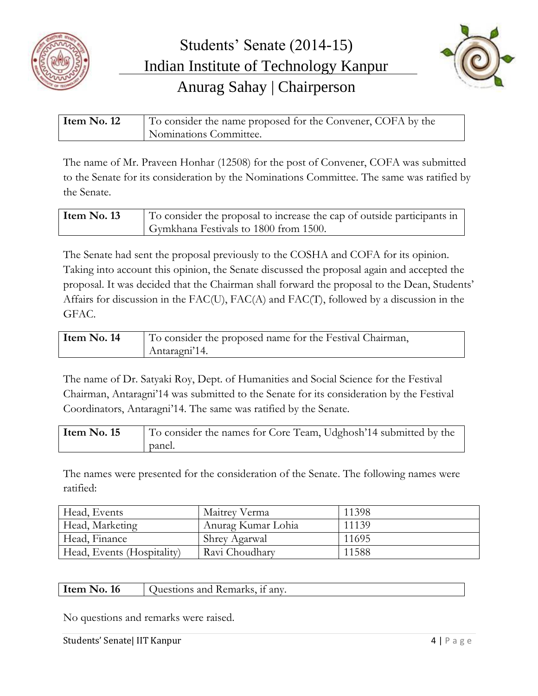



| Item No. 12 | To consider the name proposed for the Convener, COFA by the |
|-------------|-------------------------------------------------------------|
|             | Nominations Committee.                                      |

The name of Mr. Praveen Honhar (12508) for the post of Convener, COFA was submitted to the Senate for its consideration by the Nominations Committee. The same was ratified by the Senate.

| Item No. 13 | To consider the proposal to increase the cap of outside participants in |
|-------------|-------------------------------------------------------------------------|
|             | Gymkhana Festivals to 1800 from 1500.                                   |

The Senate had sent the proposal previously to the COSHA and COFA for its opinion. Taking into account this opinion, the Senate discussed the proposal again and accepted the proposal. It was decided that the Chairman shall forward the proposal to the Dean, Students' Affairs for discussion in the FAC(U), FAC(A) and FAC(T), followed by a discussion in the GFAC.

| Item No. 14 | To consider the proposed name for the Festival Chairman, |
|-------------|----------------------------------------------------------|
|             | Antaragni'14.                                            |

The name of Dr. Satyaki Roy, Dept. of Humanities and Social Science for the Festival Chairman, Antaragni'14 was submitted to the Senate for its consideration by the Festival Coordinators, Antaragni'14. The same was ratified by the Senate.

| Item No. 15 | To consider the names for Core Team, Udghosh'14 submitted by the |
|-------------|------------------------------------------------------------------|
|             | panel.                                                           |

The names were presented for the consideration of the Senate. The following names were ratified:

| Head, Events               | Maitrey Verma                   | 11398 |
|----------------------------|---------------------------------|-------|
| Head, Marketing            | <sup>1</sup> Anurag Kumar Lohia | 11139 |
| Head, Finance              | Shrey Agarwal                   | 11695 |
| Head, Events (Hospitality) | Ravi Choudhary                  | 11588 |

No questions and remarks were raised.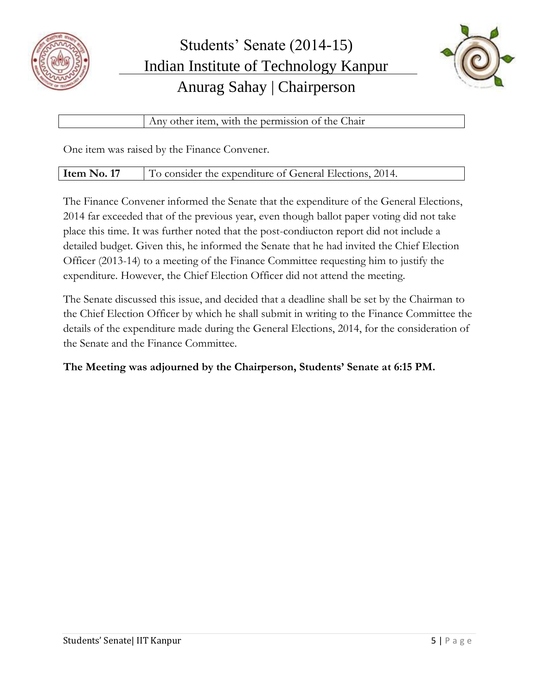



Any other item, with the permission of the Chair

One item was raised by the Finance Convener.

| Item No. 17 | To consider the expenditure of General Elections, 2014. |
|-------------|---------------------------------------------------------|
|-------------|---------------------------------------------------------|

The Finance Convener informed the Senate that the expenditure of the General Elections, 2014 far exceeded that of the previous year, even though ballot paper voting did not take place this time. It was further noted that the post-condiucton report did not include a detailed budget. Given this, he informed the Senate that he had invited the Chief Election Officer (2013-14) to a meeting of the Finance Committee requesting him to justify the expenditure. However, the Chief Election Officer did not attend the meeting.

The Senate discussed this issue, and decided that a deadline shall be set by the Chairman to the Chief Election Officer by which he shall submit in writing to the Finance Committee the details of the expenditure made during the General Elections, 2014, for the consideration of the Senate and the Finance Committee.

## **The Meeting was adjourned by the Chairperson, Students' Senate at 6:15 PM.**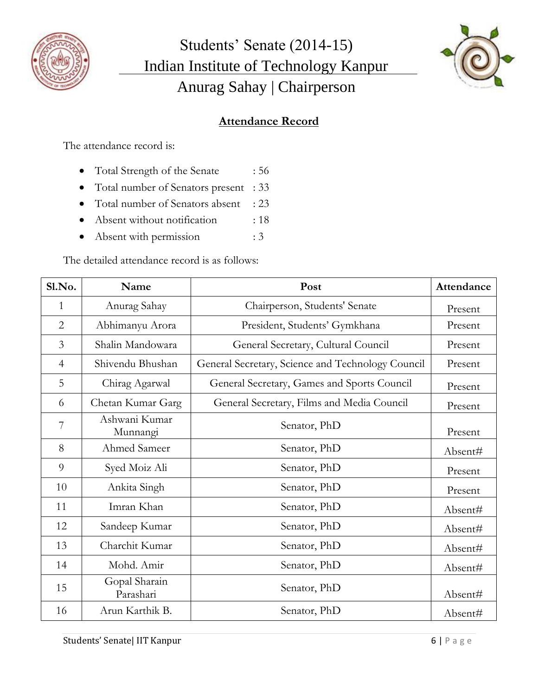



## **Attendance Record**

The attendance record is:

- Total Strength of the Senate : 56
- Total number of Senators present : 33
- Total number of Senators absent : 23
- Absent without notification : 18
- Absent with permission : 3

The detailed attendance record is as follows:

| Sl.No.         | Name                       | Post                                              | Attendance |
|----------------|----------------------------|---------------------------------------------------|------------|
| $\mathbf{1}$   | Anurag Sahay               | Chairperson, Students' Senate                     | Present    |
| $\overline{2}$ | Abhimanyu Arora            | President, Students' Gymkhana                     | Present    |
| 3              | Shalin Mandowara           | General Secretary, Cultural Council               | Present    |
| $\overline{4}$ | Shivendu Bhushan           | General Secretary, Science and Technology Council | Present    |
| 5              | Chirag Agarwal             | General Secretary, Games and Sports Council       | Present    |
| 6              | Chetan Kumar Garg          | General Secretary, Films and Media Council        | Present    |
| 7              | Ashwani Kumar<br>Munnangi  | Senator, PhD                                      | Present    |
| 8              | Ahmed Sameer               | Senator, PhD                                      | Absent#    |
| 9              | Syed Moiz Ali              | Senator, PhD                                      | Present    |
| 10             | Ankita Singh               | Senator, PhD                                      | Present    |
| 11             | Imran Khan                 | Senator, PhD                                      | Absent#    |
| 12             | Sandeep Kumar              | Senator, PhD                                      | Absent#    |
| 13             | Charchit Kumar             | Senator, PhD                                      | Absent#    |
| 14             | Mohd. Amir                 | Senator, PhD                                      | Absent#    |
| 15             | Gopal Sharain<br>Parashari | Senator, PhD                                      | Absent#    |
| 16             | Arun Karthik B.            | Senator, PhD                                      | Absent#    |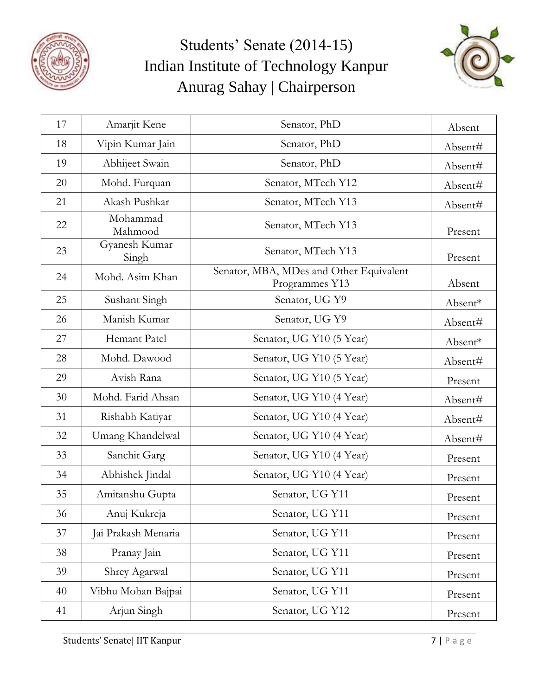



| 17 | Amarjit Kene           | Senator, PhD                                              | Absent  |
|----|------------------------|-----------------------------------------------------------|---------|
| 18 | Vipin Kumar Jain       | Senator, PhD                                              | Absent# |
| 19 | Abhijeet Swain         | Senator, PhD                                              | Absent# |
| 20 | Mohd. Furquan          | Senator, MTech Y12                                        | Absent# |
| 21 | Akash Pushkar          | Senator, MTech Y13                                        | Absent# |
| 22 | Mohammad<br>Mahmood    | Senator, MTech Y13                                        | Present |
| 23 | Gyanesh Kumar<br>Singh | Senator, MTech Y13                                        | Present |
| 24 | Mohd. Asim Khan        | Senator, MBA, MDes and Other Equivalent<br>Programmes Y13 | Absent  |
| 25 | Sushant Singh          | Senator, UG Y9                                            | Absent* |
| 26 | Manish Kumar           | Senator, UG Y9                                            | Absent# |
| 27 | Hemant Patel           | Senator, UG Y10 (5 Year)                                  | Absent* |
| 28 | Mohd. Dawood           | Senator, UG Y10 (5 Year)                                  | Absent# |
| 29 | Avish Rana             | Senator, UG Y10 (5 Year)                                  | Present |
| 30 | Mohd. Farid Ahsan      | Senator, UG Y10 (4 Year)                                  | Absent# |
| 31 | Rishabh Katiyar        | Senator, UG Y10 (4 Year)                                  | Absent# |
| 32 | Umang Khandelwal       | Senator, UG Y10 (4 Year)                                  | Absent# |
| 33 | Sanchit Garg           | Senator, UG Y10 (4 Year)                                  | Present |
| 34 | Abhishek Jindal        | Senator, UG Y10 (4 Year)                                  | Present |
| 35 | Amitanshu Gupta        | Senator, UG Y11                                           | Present |
| 36 | Anuj Kukreja           | Senator, UG Y11                                           | Present |
| 37 | Jai Prakash Menaria    | Senator, UG Y11                                           | Present |
| 38 | Pranay Jain            | Senator, UG Y11                                           | Present |
| 39 | Shrey Agarwal          | Senator, UG Y11                                           | Present |
| 40 | Vibhu Mohan Bajpai     | Senator, UG Y11                                           | Present |
| 41 | Arjun Singh            | Senator, UG Y12                                           | Present |